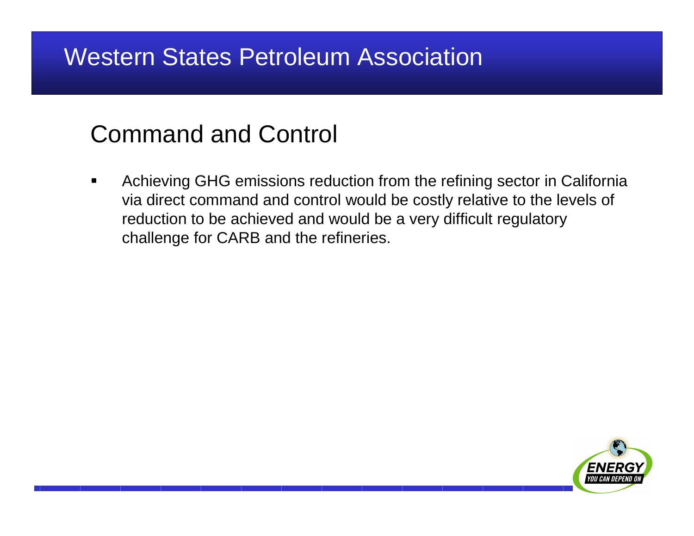## Command and Control

 $\blacksquare$  Achieving GHG emissions reduction from the refining sector in California via direct command and control would be costly relative to the levels of reduction to be achieved and would be a very difficult regulatory challenge for CARB and the refineries.

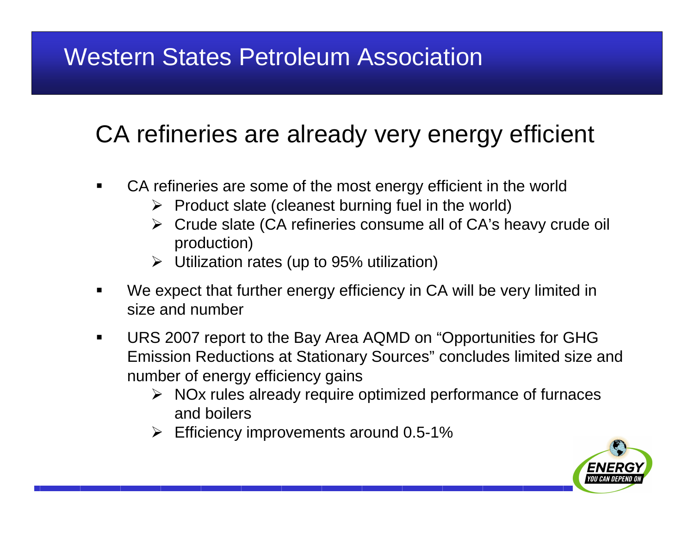## CA refineries are already very energy efficient

- CA refineries are some of the most energy efficient in the world
	- $\triangleright$  Product slate (cleanest burning fuel in the world)
	- **►** Crude slate (CA refineries consume all of CA's heavy crude oil production)
	- Utilization rates (up to 95% utilization)
- We expect that further energy efficiency in CA will be very limited in size and number
- $\blacksquare$  URS 2007 report to the Bay Area AQMD on "Opportunities for GHG Emission Reductions at Stationary Sources" concludes limited size and number of energy efficiency gains
	- > NOx rules already require optimized performance of furnaces and boilers
	- Efficiency improvements around 0.5-1%

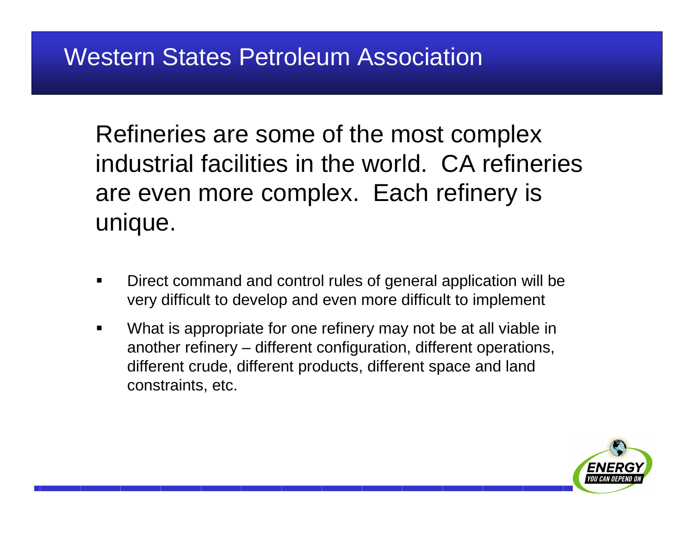Refineries are some of the most complex industrial facilities in the world. CA refineries are even more complex. Each refinery is unique.

- $\blacksquare$  Direct command and control rules of general application will be very difficult to develop and even more difficult to implement
- $\blacksquare$  What is appropriate for one refinery may not be at all viable in another refinery – different configuration, different operations, different crude, different products, different space and land constraints, etc.

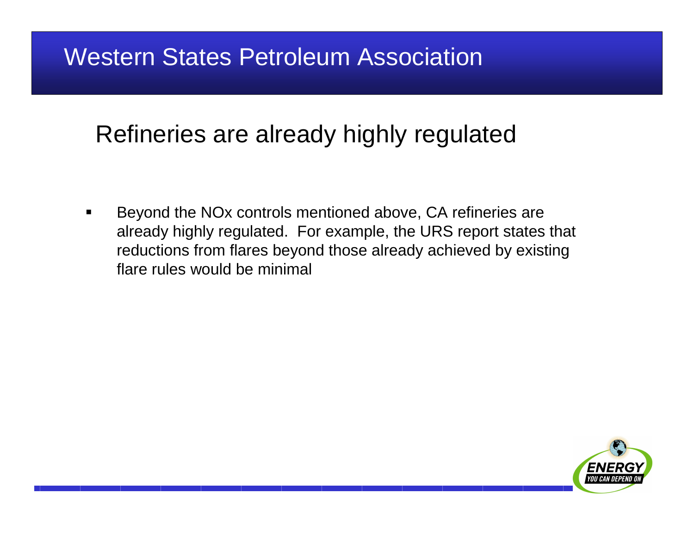### Refineries are already highly regulated

 $\blacksquare$  Beyond the NOx controls mentioned above, CA refineries are already highly regulated. For example, the URS report states that reductions from flares beyond those already achieved by existing flare rules would be minimal

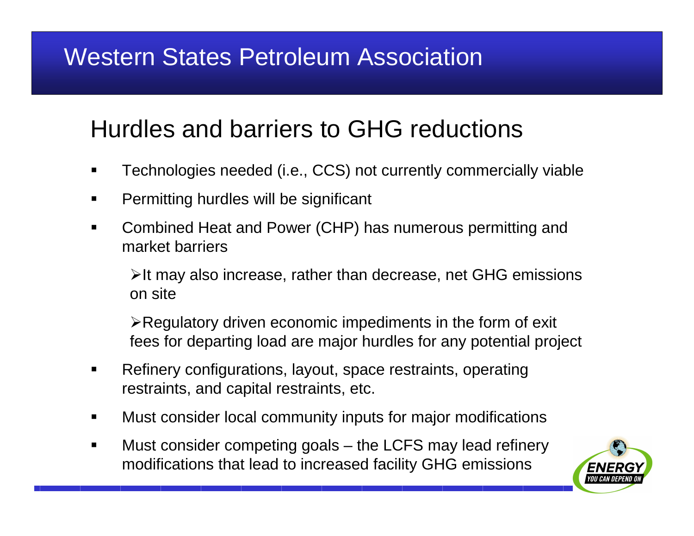# Hurdles and barriers to GHG reductions

- $\blacksquare$ Technologies needed (i.e., CCS) not currently commercially viable
- $\blacksquare$ Permitting hurdles will be significant
- $\blacksquare$  Combined Heat and Power (CHP) has numerous permitting and market barriers

≻It may also increase, rather than decrease, net GHG emissions on site

 $\triangleright$ Regulatory driven economic impediments in the form of exit fees for departing load are major hurdles for any potential project

- $\blacksquare$  Refinery configurations, layout, space restraints, operating restraints, and capital restraints, etc.
- $\blacksquare$ Must consider local community inputs for major modifications
- $\blacksquare$  Must consider competing goals – the LCFS may lead refinery modifications that lead to increased facility GHG emissions

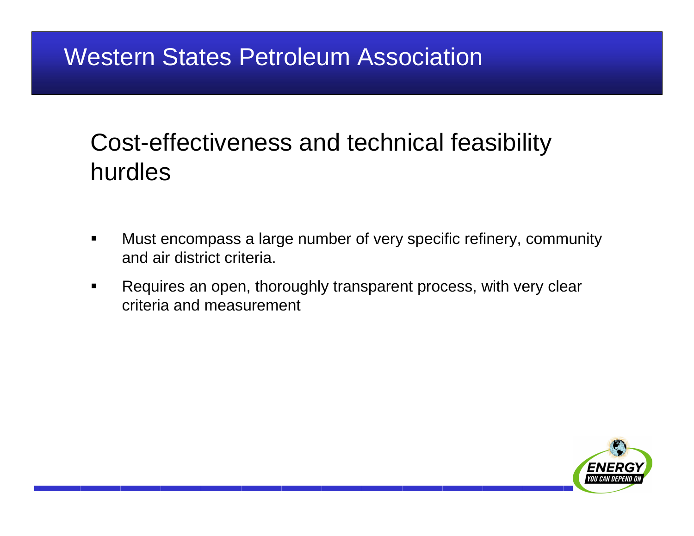# Cost-effectiveness and technical feasibility hurdles

- $\blacksquare$  Must encompass a large number of very specific refinery, community and air district criteria.
- $\blacksquare$  Requires an open, thoroughly transparent process, with very clear criteria and measurement

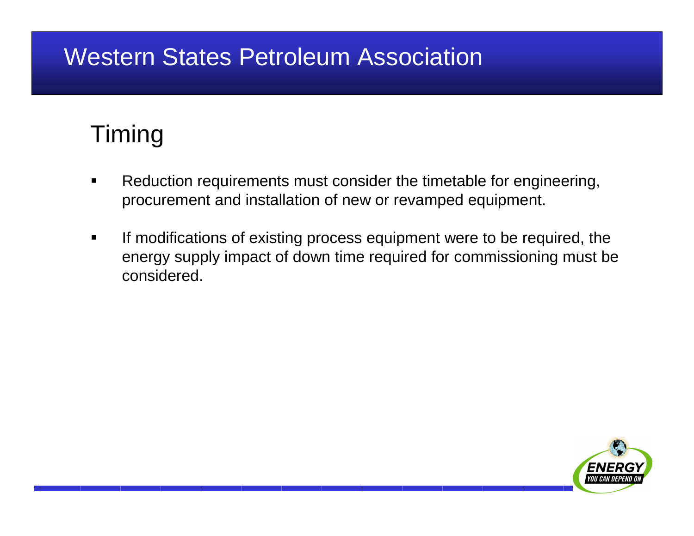# Timing

- $\blacksquare$  Reduction requirements must consider the timetable for engineering, procurement and installation of new or revamped equipment.
- $\blacksquare$  If modifications of existing process equipment were to be required, the energy supply impact of down time required for commissioning must be considered.

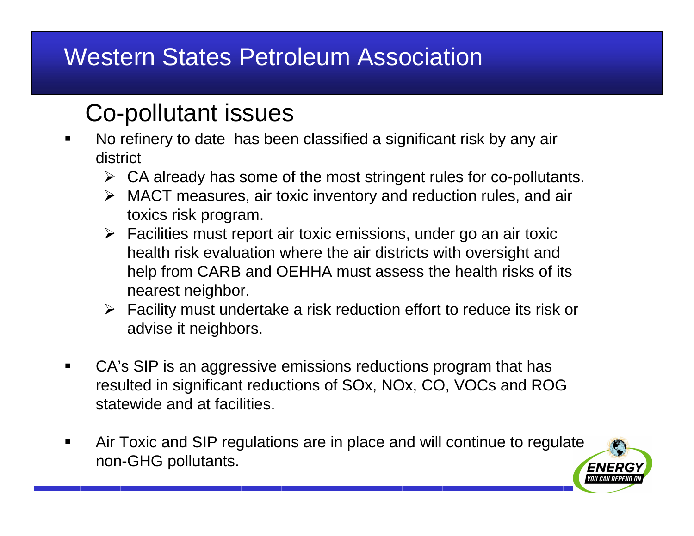# Co-pollutant issues

- No refinery to date has been classified a significant risk by any air district
	- $\triangleright$  CA already has some of the most stringent rules for co-pollutants.
	- MACT measures, air toxic inventory and reduction rules, and air toxics risk program.
	- > Facilities must report air toxic emissions, under go an air toxic health risk evaluation where the air districts with oversight and help from CARB and OEHHA must assess the health risks of its nearest neighbor.
	- **Eacility must undertake a risk reduction effort to reduce its risk or** advise it neighbors.
- $\blacksquare$  CA's SIP is an aggressive emissions reductions program that has resulted in significant reductions of SOx, NOx, CO, VOCs and ROG statewide and at facilities.
- $\blacksquare$  Air Toxic and SIP regulations are in place and will continue to regulate non-GHG pollutants.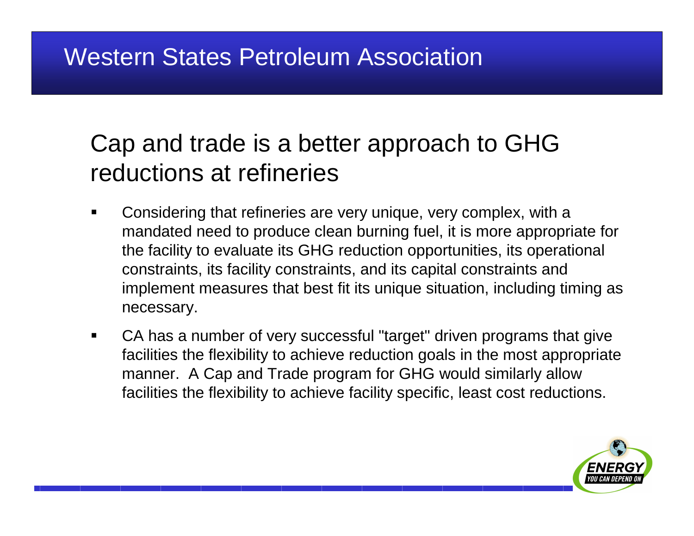## Cap and trade is a better approach to GHG reductions at refineries

- $\blacksquare$  Considering that refineries are very unique, very complex, with a mandated need to produce clean burning fuel, it is more appropriate for the facility to evaluate its GHG reduction opportunities, its operational constraints, its facility constraints, and its capital constraints and implement measures that best fit its unique situation, including timing as necessary.
- $\blacksquare$  CA has a number of very successful "target" driven programs that give facilities the flexibility to achieve reduction goals in the most appropriate manner. A Cap and Trade program for GHG would similarly allow facilities the flexibility to achieve facility specific, least cost reductions.

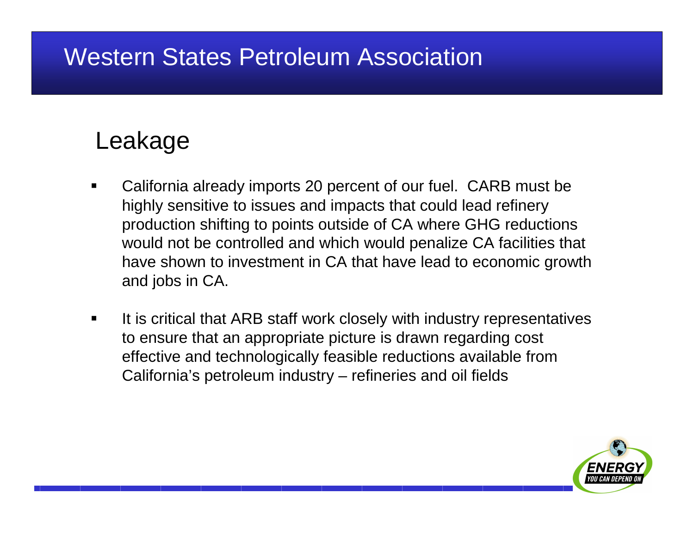#### Leakage

- $\blacksquare$  California already imports 20 percent of our fuel. CARB must be highly sensitive to issues and impacts that could lead refinery production shifting to points outside of CA where GHG reductions would not be controlled and which would penalize CA facilities that have shown to investment in CA that have lead to economic growth and jobs in CA.
- It is critical that ARB staff work closely with industry representatives to ensure that an appropriate picture is drawn regarding cost effective and technologically feasible reductions available from California's petroleum industry – refineries and oil fields